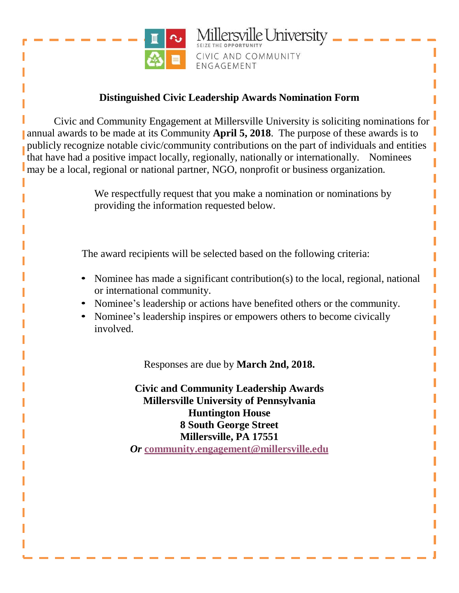

lersville University CIVIC AND COMMUNITY ENGAGEMENT

## **Distinguished Civic Leadership Awards Nomination Form**

Civic and Community Engagement at Millersville University is soliciting nominations for annual awards to be made at its Community **April 5, 2018**. The purpose of these awards is to publicly recognize notable civic/community contributions on the part of individuals and entities that have had a positive impact locally, regionally, nationally or internationally. Nominees may be a local, regional or national partner, NGO, nonprofit or business organization.

> We respectfully request that you make a nomination or nominations by providing the information requested below.

The award recipients will be selected based on the following criteria:

- Nominee has made a significant contribution(s) to the local, regional, national or international community.
- Nominee's leadership or actions have benefited others or the community.
- Nominee's leadership inspires or empowers others to become civically involved.

Responses are due by **March 2nd, 2018.** 

**Civic and Community Leadership Awards Millersville University of Pennsylvania Huntington House 8 South George Street Millersville, PA 17551** *Or* **[community.engagement@millersville.edu](mailto:community.engagement@millersville.edu)**